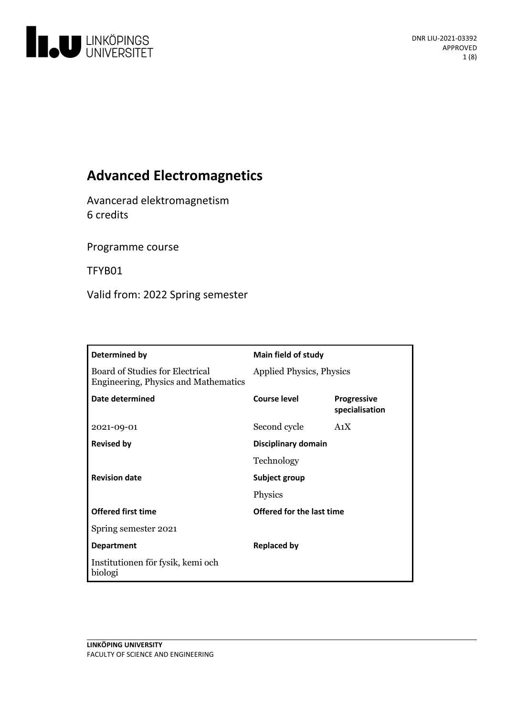

# **Advanced Electromagnetics**

Avancerad elektromagnetism 6 credits

Programme course

TFYB01

Valid from: 2022 Spring semester

| Determined by                                                                         | <b>Main field of study</b>      |                                      |
|---------------------------------------------------------------------------------------|---------------------------------|--------------------------------------|
| <b>Board of Studies for Electrical</b><br><b>Engineering, Physics and Mathematics</b> | <b>Applied Physics, Physics</b> |                                      |
| Date determined                                                                       | <b>Course level</b>             | <b>Progressive</b><br>specialisation |
| 2021-09-01                                                                            | Second cycle                    | A <sub>1</sub> X                     |
| <b>Revised by</b>                                                                     | <b>Disciplinary domain</b>      |                                      |
|                                                                                       | Technology                      |                                      |
| <b>Revision date</b>                                                                  | Subject group                   |                                      |
|                                                                                       | Physics                         |                                      |
| <b>Offered first time</b>                                                             | Offered for the last time       |                                      |
| Spring semester 2021                                                                  |                                 |                                      |
| <b>Department</b>                                                                     | <b>Replaced by</b>              |                                      |
| Institutionen för fysik, kemi och<br>biologi                                          |                                 |                                      |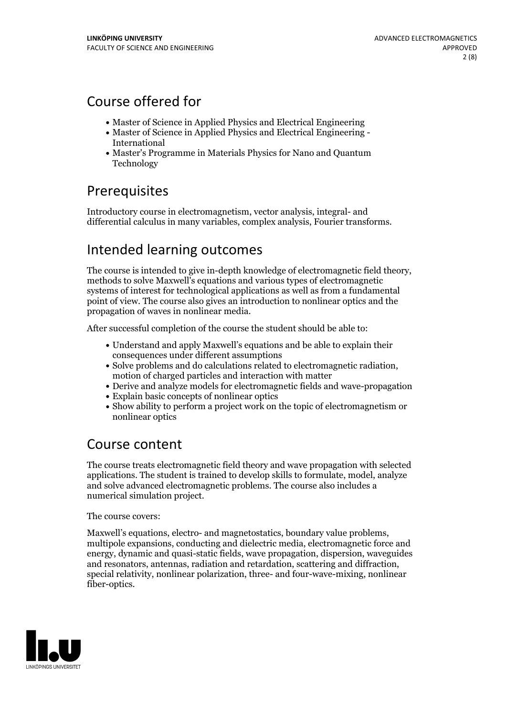## Course offered for

- Master of Science in Applied Physics and Electrical Engineering
- Master of Science in Applied Physics and Electrical Engineering International
- Master's Programme in Materials Physics for Nano and Quantum Technology

# Prerequisites

Introductory course in electromagnetism, vector analysis, integral- and differential calculus in many variables, complex analysis, Fourier transforms.

# Intended learning outcomes

The course is intended to give in-depth knowledge of electromagnetic field theory, methods to solve Maxwell's equations and various types of electromagnetic systems of interest for technological applications as well as from a fundamental point of view. The course also gives an introduction to nonlinear optics and the propagation of waves in nonlinear media.

After successful completion of the course the student should be able to:

- Understand and apply Maxwell's equations and be able to explain their consequences under different assumptions
- Solve problems and do calculations related to electromagnetic radiation, motion of charged particles and interaction with matter
- Derive and analyze models for electromagnetic fields and wave-propagation
- Explain basic concepts of nonlinear optics
- Show ability to perform a project work on the topic of electromagnetism or nonlinear optics

## Course content

The course treats electromagnetic field theory and wave propagation with selected applications. The student is trained to develop skills to formulate, model, analyze and solve advanced electromagnetic problems. The course also includes a numerical simulation project.

The course covers:

Maxwell's equations, electro- and magnetostatics, boundary value problems, multipole expansions, conducting and dielectric media, electromagnetic force and energy, dynamic and quasi-static fields, wave propagation, dispersion, waveguides and resonators, antennas, radiation and retardation, scattering and diffraction, special relativity, nonlinear polarization, three- and four-wave-mixing, nonlinear fiber-optics.

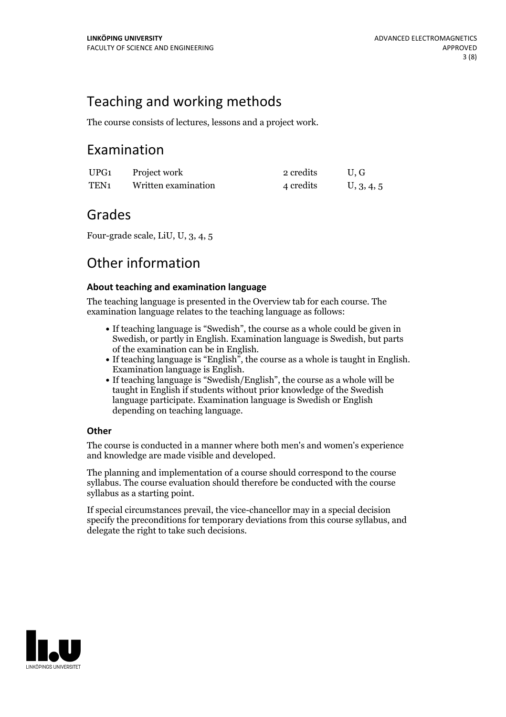## Teaching and working methods

The course consists of lectures, lessons and a project work.

## Examination

| UPG1 | Project work        | 2 credits | U.G        |
|------|---------------------|-----------|------------|
| TEN1 | Written examination | 4 credits | U, 3, 4, 5 |

## Grades

Four-grade scale, LiU, U, 3, 4, 5

## Other information

### **About teaching and examination language**

The teaching language is presented in the Overview tab for each course. The examination language relates to the teaching language as follows:

- If teaching language is "Swedish", the course as a whole could be given in Swedish, or partly in English. Examination language is Swedish, but parts
- of the examination can be in English. If teaching language is "English", the course as <sup>a</sup> whole is taught in English. Examination language is English. If teaching language is "Swedish/English", the course as <sup>a</sup> whole will be
- taught in English if students without prior knowledge of the Swedish language participate. Examination language is Swedish or English depending on teaching language.

### **Other**

The course is conducted in a manner where both men's and women's experience and knowledge are made visible and developed.

The planning and implementation of a course should correspond to the course syllabus. The course evaluation should therefore be conducted with the course syllabus as a starting point.

If special circumstances prevail, the vice-chancellor may in a special decision specify the preconditions for temporary deviations from this course syllabus, and delegate the right to take such decisions.

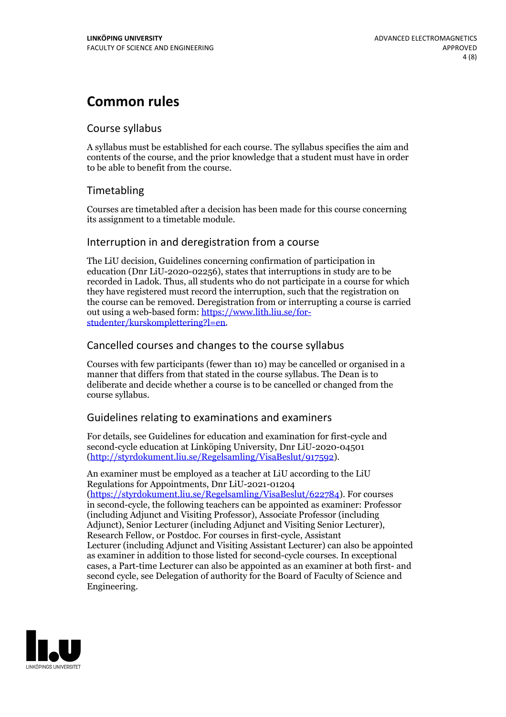# **Common rules**

### Course syllabus

A syllabus must be established for each course. The syllabus specifies the aim and contents of the course, and the prior knowledge that a student must have in order to be able to benefit from the course.

### Timetabling

Courses are timetabled after a decision has been made for this course concerning its assignment to a timetable module.

### Interruption in and deregistration from a course

The LiU decision, Guidelines concerning confirmation of participation in education (Dnr LiU-2020-02256), states that interruptions in study are to be recorded in Ladok. Thus, all students who do not participate in a course for which they have registered must record the interruption, such that the registration on the course can be removed. Deregistration from or interrupting a course is carried out using <sup>a</sup> web-based form: https://www.lith.liu.se/for- [studenter/kurskomplettering?l=en.](https://www.lith.liu.se/for-studenter/kurskomplettering?l=en)

### Cancelled courses and changes to the course syllabus

Courses with few participants (fewer than 10) may be cancelled or organised in a manner that differs from that stated in the course syllabus. The Dean is to deliberate and decide whether a course is to be cancelled or changed from the course syllabus.

### Guidelines relating to examinations and examiners

For details, see Guidelines for education and examination for first-cycle and second-cycle education at Linköping University, Dnr LiU-2020-04501 [\(http://styrdokument.liu.se/Regelsamling/VisaBeslut/917592\)](http://styrdokument.liu.se/Regelsamling/VisaBeslut/917592).

An examiner must be employed as a teacher at LiU according to the LiU Regulations for Appointments, Dnr LiU-2021-01204 [\(https://styrdokument.liu.se/Regelsamling/VisaBeslut/622784](https://styrdokument.liu.se/Regelsamling/VisaBeslut/622784)). For courses in second-cycle, the following teachers can be appointed as examiner: Professor (including Adjunct and Visiting Professor), Associate Professor (including Adjunct), Senior Lecturer (including Adjunct and Visiting Senior Lecturer), Research Fellow, or Postdoc. For courses in first-cycle, Assistant Lecturer (including Adjunct and Visiting Assistant Lecturer) can also be appointed as examiner in addition to those listed for second-cycle courses. In exceptional cases, a Part-time Lecturer can also be appointed as an examiner at both first- and second cycle, see Delegation of authority for the Board of Faculty of Science and Engineering.

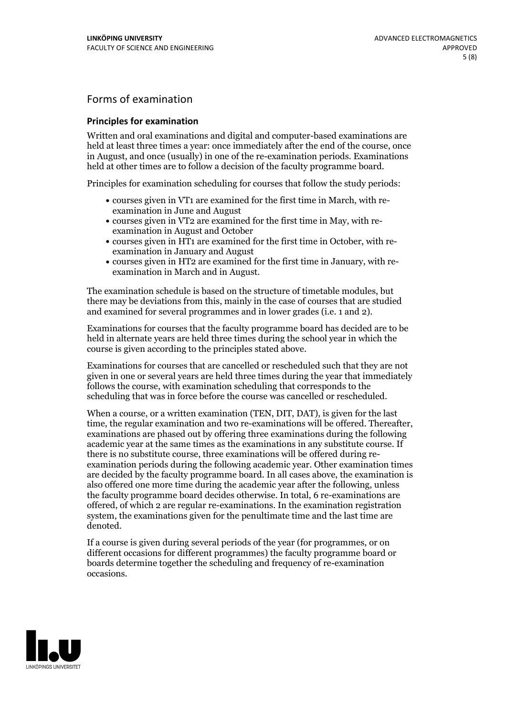## Forms of examination

#### **Principles for examination**

Written and oral examinations and digital and computer-based examinations are held at least three times a year: once immediately after the end of the course, once in August, and once (usually) in one of the re-examination periods. Examinations held at other times are to follow a decision of the faculty programme board.

Principles for examination scheduling for courses that follow the study periods:

- courses given in VT1 are examined for the first time in March, with re-examination in June and August
- courses given in VT2 are examined for the first time in May, with re-examination in August and October
- courses given in HT1 are examined for the first time in October, with re-examination in January and August
- courses given in HT2 are examined for the first time in January, with re-examination in March and in August.

The examination schedule is based on the structure of timetable modules, but there may be deviations from this, mainly in the case of courses that are studied and examined for several programmes and in lower grades (i.e. 1 and 2).

Examinations for courses that the faculty programme board has decided are to be held in alternate years are held three times during the school year in which the course is given according to the principles stated above.

Examinations for courses that are cancelled orrescheduled such that they are not given in one or several years are held three times during the year that immediately follows the course, with examination scheduling that corresponds to the scheduling that was in force before the course was cancelled or rescheduled.

When a course, or a written examination (TEN, DIT, DAT), is given for the last time, the regular examination and two re-examinations will be offered. Thereafter, examinations are phased out by offering three examinations during the following academic year at the same times as the examinations in any substitute course. If there is no substitute course, three examinations will be offered during re- examination periods during the following academic year. Other examination times are decided by the faculty programme board. In all cases above, the examination is also offered one more time during the academic year after the following, unless the faculty programme board decides otherwise. In total, 6 re-examinations are offered, of which 2 are regular re-examinations. In the examination registration system, the examinations given for the penultimate time and the last time are denoted.

If a course is given during several periods of the year (for programmes, or on different occasions for different programmes) the faculty programme board or boards determine together the scheduling and frequency of re-examination occasions.

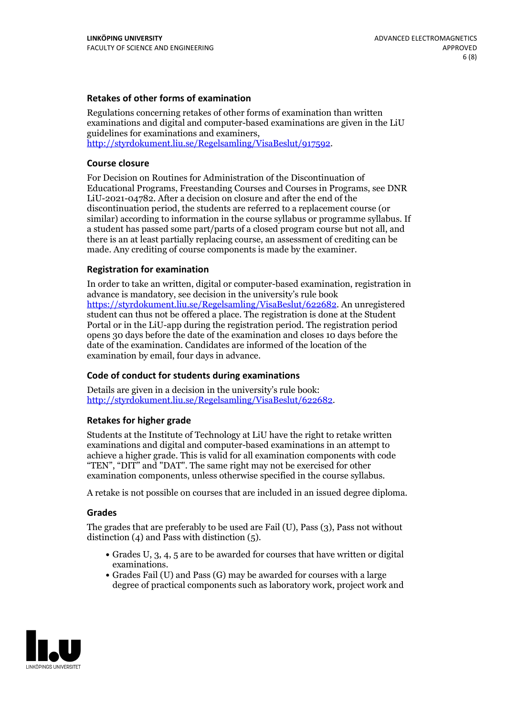### **Retakes of other forms of examination**

Regulations concerning retakes of other forms of examination than written examinations and digital and computer-based examinations are given in the LiU guidelines for examinations and examiners, [http://styrdokument.liu.se/Regelsamling/VisaBeslut/917592.](http://styrdokument.liu.se/Regelsamling/VisaBeslut/917592)

#### **Course closure**

For Decision on Routines for Administration of the Discontinuation of Educational Programs, Freestanding Courses and Courses in Programs, see DNR LiU-2021-04782. After a decision on closure and after the end of the discontinuation period, the students are referred to a replacement course (or similar) according to information in the course syllabus or programme syllabus. If a student has passed some part/parts of a closed program course but not all, and there is an at least partially replacing course, an assessment of crediting can be made. Any crediting of course components is made by the examiner.

#### **Registration for examination**

In order to take an written, digital or computer-based examination, registration in advance is mandatory, see decision in the university's rule book [https://styrdokument.liu.se/Regelsamling/VisaBeslut/622682.](https://styrdokument.liu.se/Regelsamling/VisaBeslut/622682) An unregistered student can thus not be offered a place. The registration is done at the Student Portal or in the LiU-app during the registration period. The registration period opens 30 days before the date of the examination and closes 10 days before the date of the examination. Candidates are informed of the location of the examination by email, four days in advance.

#### **Code of conduct for students during examinations**

Details are given in a decision in the university's rule book: <http://styrdokument.liu.se/Regelsamling/VisaBeslut/622682>.

#### **Retakes for higher grade**

Students at the Institute of Technology at LiU have the right to retake written examinations and digital and computer-based examinations in an attempt to achieve a higher grade. This is valid for all examination components with code "TEN", "DIT" and "DAT". The same right may not be exercised for other examination components, unless otherwise specified in the course syllabus.

A retake is not possible on courses that are included in an issued degree diploma.

#### **Grades**

The grades that are preferably to be used are Fail (U), Pass (3), Pass not without distinction  $(4)$  and Pass with distinction  $(5)$ .

- Grades U, 3, 4, 5 are to be awarded for courses that have written or digital examinations.<br>• Grades Fail (U) and Pass (G) may be awarded for courses with a large
- degree of practical components such as laboratory work, project work and

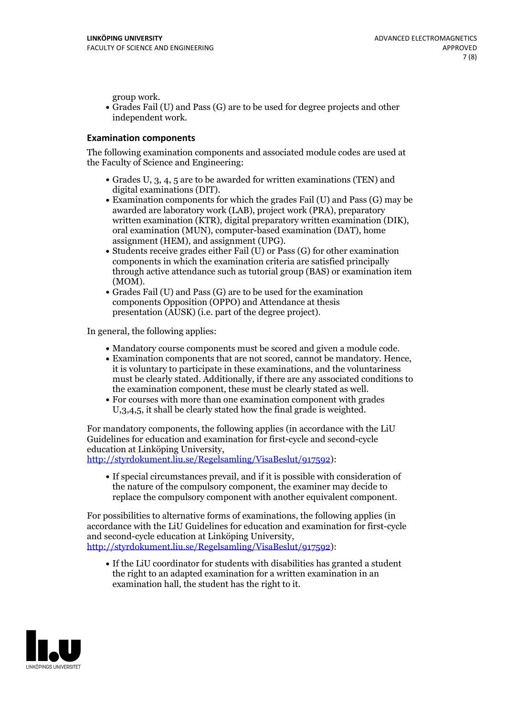group work.<br>• Grades Fail (U) and Pass (G) are to be used for degree projects and other independent work.

### **Examination components**

The following examination components and associated module codes are used at the Faculty of Science and Engineering:

- Grades U, 3, 4, 5 are to be awarded for written examinations (TEN) and
- digital examinations (DIT).<br>• Examination components for which the grades Fail (U) and Pass (G) may be awarded are laboratory work (LAB), project work (PRA), preparatory written examination (KTR), digital preparatory written examination (DIK), oral examination (MUN), computer-based examination (DAT), home
- assignment (HEM), and assignment (UPG).<br>• Students receive grades either Fail (U) or Pass (G) for other examination components in which the examination criteria are satisfied principally through active attendance such as tutorial group (BAS) or examination item
- (MOM).<br>• Grades Fail (U) and Pass (G) are to be used for the examination components Opposition (OPPO) and Attendance at thesis presentation (AUSK) (i.e. part of the degree project).

In general, the following applies:

- 
- Mandatory course components must be scored and given <sup>a</sup> module code. Examination components that are not scored, cannot be mandatory. Hence, it is voluntary to participate in these examinations, and the voluntariness must be clearly stated. Additionally, if there are any associated conditions to
- the examination component, these must be clearly stated as well.<br>• For courses with more than one examination component with grades U,3,4,5, it shall be clearly stated how the final grade is weighted.

For mandatory components, the following applies (in accordance with the LiU Guidelines for education and examination for first-cycle and second-cycle education at Linköping University,<br>[http://styrdokument.liu.se/Regelsamling/VisaBeslut/917592\)](http://styrdokument.liu.se/Regelsamling/VisaBeslut/917592):

If special circumstances prevail, and if it is possible with consideration of the nature of the compulsory component, the examiner may decide to replace the compulsory component with another equivalent component.

For possibilities to alternative forms of examinations, the following applies (in accordance with the LiU Guidelines for education and examination for first-cycle [http://styrdokument.liu.se/Regelsamling/VisaBeslut/917592\)](http://styrdokument.liu.se/Regelsamling/VisaBeslut/917592):

If the LiU coordinator for students with disabilities has granted a student the right to an adapted examination for a written examination in an examination hall, the student has the right to it.